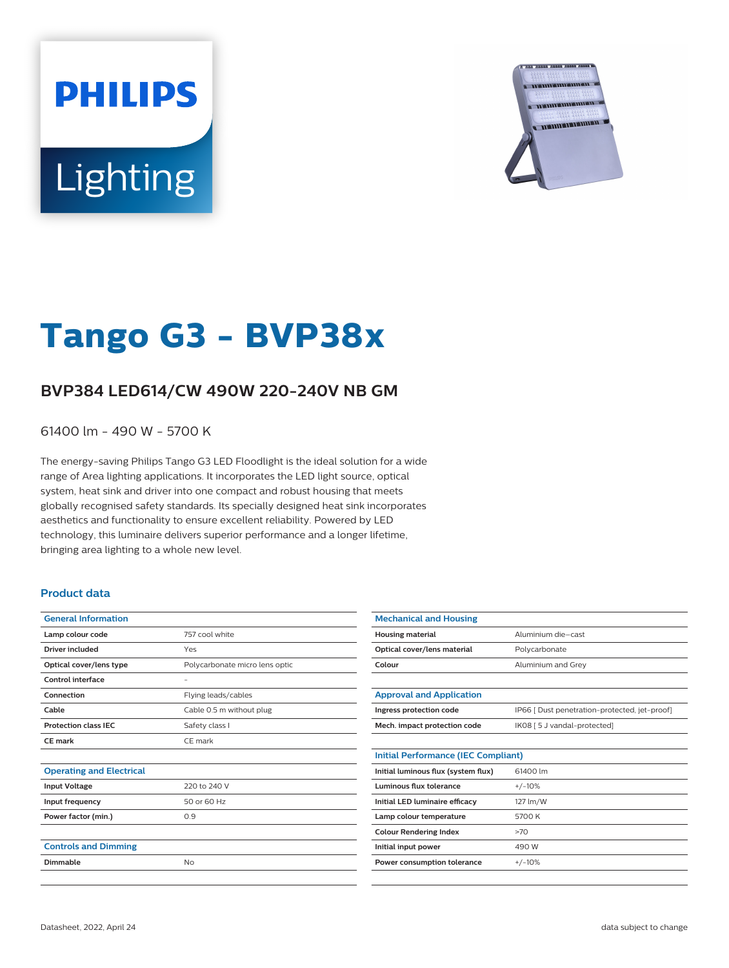# **PHILIPS** Lighting



## **Tango G3 - BVP38x**

### **BVP384 LED614/CW 490W 220-240V NB GM**

61400 lm - 490 W - 5700 K

The energy-saving Philips Tango G3 LED Floodlight is the ideal solution for a wide range of Area lighting applications. It incorporates the LED light source, optical system, heat sink and driver into one compact and robust housing that meets globally recognised safety standards. Its specially designed heat sink incorporates aesthetics and functionality to ensure excellent reliability. Powered by LED technology, this luminaire delivers superior performance and a longer lifetime, bringing area lighting to a whole new level.

#### **Product data**

| <b>General Information</b>      |                                |
|---------------------------------|--------------------------------|
| Lamp colour code                | 757 cool white                 |
| <b>Driver included</b>          | Yes                            |
| Optical cover/lens type         | Polycarbonate micro lens optic |
| Control interface               | $\overline{\phantom{a}}$       |
| Connection                      | Flying leads/cables            |
| Cable                           | Cable 0.5 m without plug       |
| <b>Protection class IEC</b>     | Safety class I                 |
| CE mark                         | CE mark                        |
|                                 |                                |
| <b>Operating and Electrical</b> |                                |
| <b>Input Voltage</b>            | 220 to 240 V                   |
| Input frequency                 | 50 or 60 Hz                    |
| Power factor (min.)             | 0.9                            |
|                                 |                                |
| <b>Controls and Dimming</b>     |                                |
| Dimmable                        | <b>No</b>                      |
|                                 |                                |

| <b>Mechanical and Housing</b>              |                                               |
|--------------------------------------------|-----------------------------------------------|
| <b>Housing material</b>                    | Aluminium die-cast                            |
| Optical cover/lens material                | Polycarbonate                                 |
| Colour                                     | Aluminium and Grey                            |
|                                            |                                               |
| <b>Approval and Application</b>            |                                               |
| Ingress protection code                    | IP66   Dust penetration-protected, jet-proof] |
| Mech. impact protection code               | IK08 [ 5 J vandal-protected]                  |
|                                            |                                               |
| <b>Initial Performance (IEC Compliant)</b> |                                               |
| Initial luminous flux (system flux)        | 61400 lm                                      |
| Luminous flux tolerance                    | $+/-10%$                                      |
| Initial LED luminaire efficacy             | 127 lm/W                                      |
| Lamp colour temperature                    | 5700 K                                        |
| <b>Colour Rendering Index</b>              | >70                                           |
| Initial input power                        | 490 W                                         |
| Power consumption tolerance                | $+/-10%$                                      |
|                                            |                                               |
|                                            |                                               |